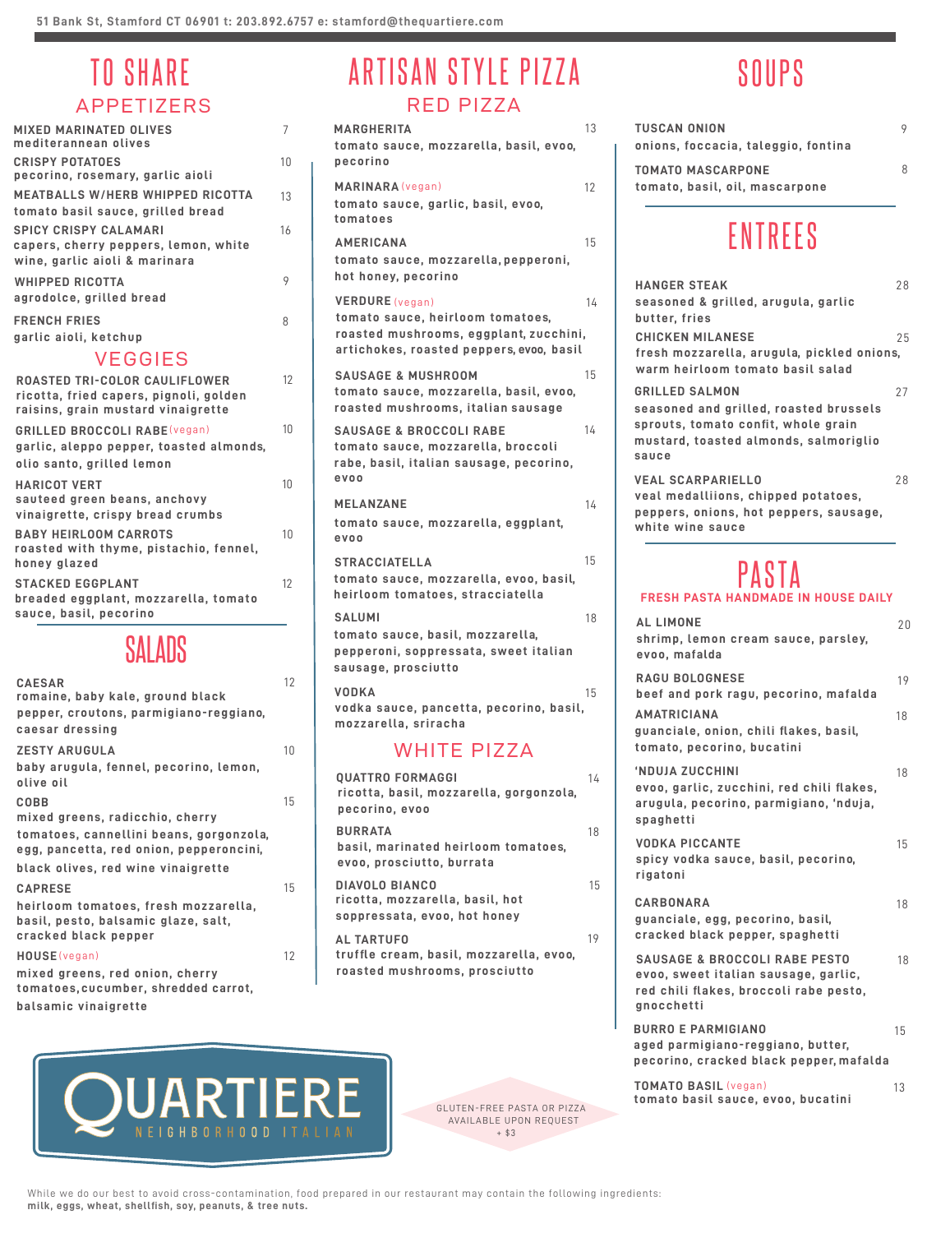# APPETIZERS

| <b>MIXED MARINATED OLIVES</b><br>mediterannean olives                                                                | 7  |
|----------------------------------------------------------------------------------------------------------------------|----|
| <b>CRISPY POTATOES</b><br>pecorino, rosemary, garlic aioli                                                           | 10 |
| <b>MEATBALLS W/HERB WHIPPED RICOTTA</b><br>tomato basil sauce, grilled bread                                         | 13 |
| <b>SPICY CRISPY CALAMARI</b><br>capers, cherry peppers, lemon, white<br>wine, garlic aioli & marinara                | 16 |
| <b>WHIPPED RICOTTA</b><br>agrodolce, grilled bread                                                                   | 9  |
| <b>FRENCH FRIES</b><br>garlic aioli, ketchup                                                                         | 8  |
| <b>VEGGIES</b>                                                                                                       |    |
| <b>ROASTED TRI-COLOR CAULIFLOWER</b><br>ricotta, fried capers, pignoli, golden<br>raisins, grain mustard vinaigrette | 12 |
| <b>GRILLED BROCCOLI RABE (vegan)</b><br>garlic, aleppo pepper, toasted almonds,<br>olio santo, grilled lemon         | 10 |
| <b>HARICOT VERT</b><br>sauteed green beans, anchovy<br>vinaigrette, crispy bread crumbs                              | 10 |
| <b>BABY HEIRLOOM CARROTS</b><br>roasted with thyme, pistachio, fennel,<br>honey glazed                               | 10 |
| <b>STACKED EGGPLANT</b><br>breaded eggplant, mozzarella, tomato<br>sauce, basil, pecorino                            | 12 |
| AI VUG                                                                                                               |    |

| <b>CAESAR</b>                           | 12 |
|-----------------------------------------|----|
| romaine, baby kale, ground black        |    |
| pepper, croutons, parmigiano-reggiano,  |    |
| caesar dressing                         |    |
| <b>ZESTY ARUGULA</b>                    | 10 |
| baby arugula, fennel, pecorino, lemon,  |    |
| olive oil                               |    |
| COBB                                    | 15 |
| mixed greens, radicchio, cherry         |    |
| tomatoes, cannellini beans, gorgonzola, |    |
| egg, pancetta, red onion, pepperoncini, |    |
| black olives, red wine vinaigrette      |    |
| <b>CAPRESE</b>                          | 15 |
| heirloom tomatoes, fresh mozzarella,    |    |
| basil, pesto, balsamic glaze, salt,     |    |
| cracked black pepper                    |    |
| HOUSE(vegan)                            | 12 |
| mixed greens, red onion, cherry         |    |
|                                         |    |

**tomatoes, cucumber, shredded carrot, balsamic vinaigrette**

#### TO SHARE ARTISAN STYLE PIZZA RED PIZZA

SALADS **shrimp, lemon cream sauce, parsley, pepperoni, soppressata, sweet italian ricotta, basil, mozzarella, gorgonzola, QUATTRO FORMAGGI 14** WHITE PIZZA **tomato sauce, mozzarella, pepperoni, hot honey, pecorino AMERICANA** 15 **tomato sauce, mozzarella, basil, evoo, pecorino MARGHERITA** 13 **tomato sauce, garlic, basil, evoo, tomatoes MARINARA** (vegan) 12 **tomato sauce, heirloom tomatoes, roasted mushrooms, eggplant, zucchini, artichokes, roasted peppers, evoo, basil VERDURE** (vegan) 14 **tomato sauce, mozzarella, basil, evoo, roasted mushrooms, italian sausage** SAUSAGE & MUSHROOM 15 **tomato sauce, mozzarella, broccoli rabe, basil, italian sausage, pecorino, evoo**  SAUSAGE & BROCCOLI RABE 14 **tomato sauce, mozzarella, evoo, basil, heirloom tomatoes, stracciatella** STRACCIATELLA 15 **tomato sauce, basil, mozzarella, sausage, prosciutto** SALUMI 18 **tomato sauce, mozzarella, eggplant, evoo MELANZANE** 14 **vodka sauce, pancetta, pecorino, basil, mozzarella, sriracha VODKA** 15

**basil, marinated heirloom tomatoes, evoo, prosciutto, burrata BURRATA** 18 **ricotta, mozzarella, basil, hot soppressata, evoo, hot honey DIAVOLO BIANCO** 15 **pecorino, evoo truffle cream, basil, mozzarella, evoo, roasted mushrooms, prosciutto AL TARTUFO** 19



GLUTEN-FREE PASTA OR PIZZA AVAILABLE UPON REQUEST  $+ $3$ 

# SOUPS

| <b>TUSCAN ONION</b><br>onions, foccacia, taleggio, fontina |   |
|------------------------------------------------------------|---|
| <b>TOMATO MASCARPONE</b><br>tomato, basil, oil, mascarpone | Я |

### ENTREES

| <b>HANGER STEAK</b><br>seasoned & grilled, arugula, garlic<br>butter, fries                                                                              | 28 |
|----------------------------------------------------------------------------------------------------------------------------------------------------------|----|
| <b>CHICKEN MILANESE</b><br>fresh mozzarella, arugula, pickled onions,<br>warm heirloom tomato basil salad                                                | 25 |
| <b>GRILLED SALMON</b><br>seasoned and grilled, roasted brussels<br>sprouts, tomato confit, whole grain<br>mustard, toasted almonds, salmoriglio<br>sauce | 27 |
| <b>VEAL SCARPARIELLO</b><br>veal medalliions, chipped potatoes,<br>peppers, onions, hot peppers, sausage,<br>white wine sauce                            | 28 |
| <b>PASTA</b>                                                                                                                                             |    |
| <b>FRESH PASTA HANDMADE IN HOUSE DAILY</b>                                                                                                               |    |
| AL LIMONE<br>shrimp, lemon cream sauce, parsley,<br>evoo, mafalda                                                                                        | 20 |
| <b>RAGU BOLOGNESE</b><br>beef and pork ragu, pecorino, mafalda                                                                                           | 19 |
| <b>AMATRICIANA</b><br>guanciale, onion, chili flakes, basil,<br>tomato, pecorino, bucatini                                                               | 18 |
| 'NDUJA ZUCCHINI<br>evoo, garlic, zucchini, red chili flakes,<br>arugula, pecorino, parmigiano, 'nduja,<br>spaghetti                                      | 18 |
| <b>VODKA PICCANTE</b><br>spicy vodka sauce, basil, pecorino,<br>rigatoni                                                                                 | 15 |
| CARBONARA<br>guanciale, egg, pecorino, basil,<br>cracked black pepper, spaghetti                                                                         | 18 |
| <b>SAUSAGE &amp; BROCCOLI RABE PESTO</b><br>evoo, sweet italian sausage, garlic,<br>red chili flakes, broccoli rabe pesto,<br>gnocchetti                 | 18 |
| <b>BURRO E PARMIGIANO</b><br>aged parmigiano-reggiano, butter,<br>pecorino, cracked black pepper, mafalda                                                | 15 |
| <b>TOMATO BASIL (vegan)</b><br>tomato basil sauce, evoo, bucatini                                                                                        | 13 |

While we do our best to avoid cross-contamination, food prepared in our restaurant may contain the following ingredients: **milk, eggs, wheat, shellfish, soy, peanuts, & tree nuts.**